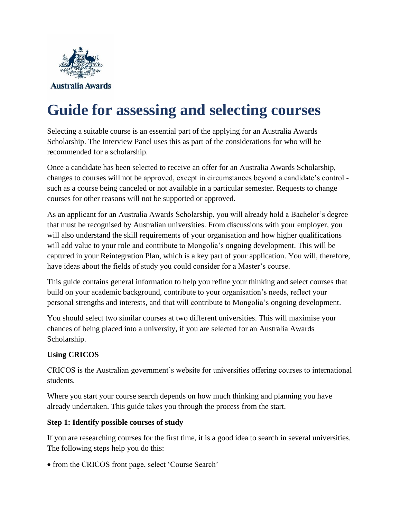

# **Guide for assessing and selecting courses**

Selecting a suitable course is an essential part of the applying for an Australia Awards Scholarship. The Interview Panel uses this as part of the considerations for who will be recommended for a scholarship.

Once a candidate has been selected to receive an offer for an Australia Awards Scholarship, changes to courses will not be approved, except in circumstances beyond a candidate's control such as a course being canceled or not available in a particular semester. Requests to change courses for other reasons will not be supported or approved.

As an applicant for an Australia Awards Scholarship, you will already hold a Bachelor's degree that must be recognised by Australian universities. From discussions with your employer, you will also understand the skill requirements of your organisation and how higher qualifications will add value to your role and contribute to Mongolia's ongoing development. This will be captured in your Reintegration Plan, which is a key part of your application. You will, therefore, have ideas about the fields of study you could consider for a Master's course.

This guide contains general information to help you refine your thinking and select courses that build on your academic background, contribute to your organisation's needs, reflect your personal strengths and interests, and that will contribute to Mongolia's ongoing development.

You should select two similar courses at two different universities. This will maximise your chances of being placed into a university, if you are selected for an Australia Awards Scholarship.

## **Using CRICOS**

CRICOS is the Australian government's website for universities offering courses to international students.

Where you start your course search depends on how much thinking and planning you have already undertaken. This guide takes you through the process from the start.

### **Step 1: Identify possible courses of study**

If you are researching courses for the first time, it is a good idea to search in several universities. The following steps help you do this:

• from the CRICOS front page, select 'Course Search'